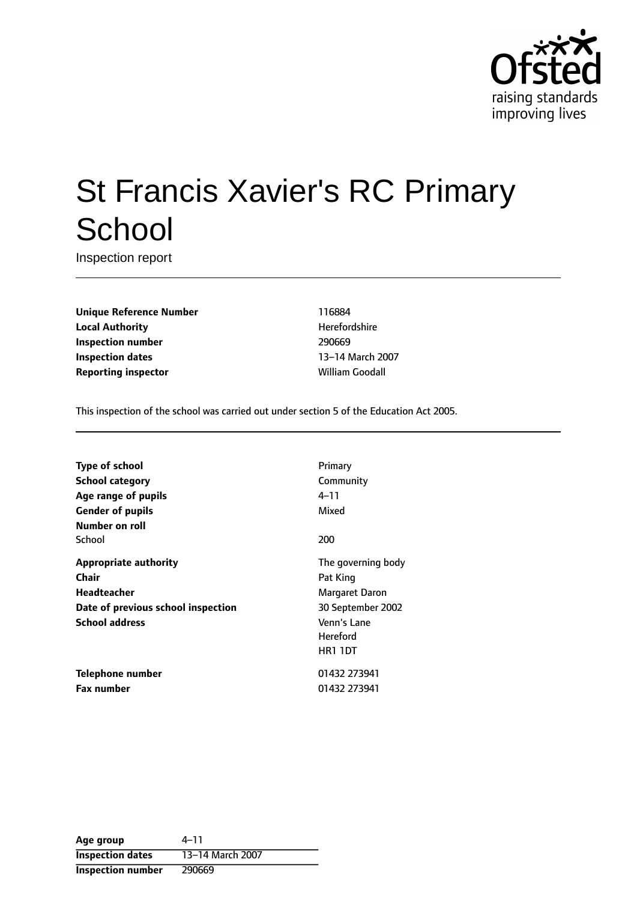

# St Francis Xavier's RC Primary **School**

Inspection report

**Unique Reference Number** 116884 **Local Authority Herefordshire Inspection number** 290669 **Inspection dates** 13-14 March 2007 **Reporting inspector and a strategies of the William Goodall** 

This inspection of the school was carried out under section 5 of the Education Act 2005.

| Primary            |
|--------------------|
| Community          |
| 4–11               |
| Mixed              |
|                    |
| 200                |
| The governing body |
| Pat King           |
| Margaret Daron     |
| 30 September 2002  |
| Venn's Lane        |
| <b>Hereford</b>    |
| <b>HR1 1DT</b>     |
| 01432 273941       |
| 01432 273941       |
|                    |

| Age group               | 4–11             |
|-------------------------|------------------|
| <b>Inspection dates</b> | 13-14 March 2007 |
| Inspection number       | 290669           |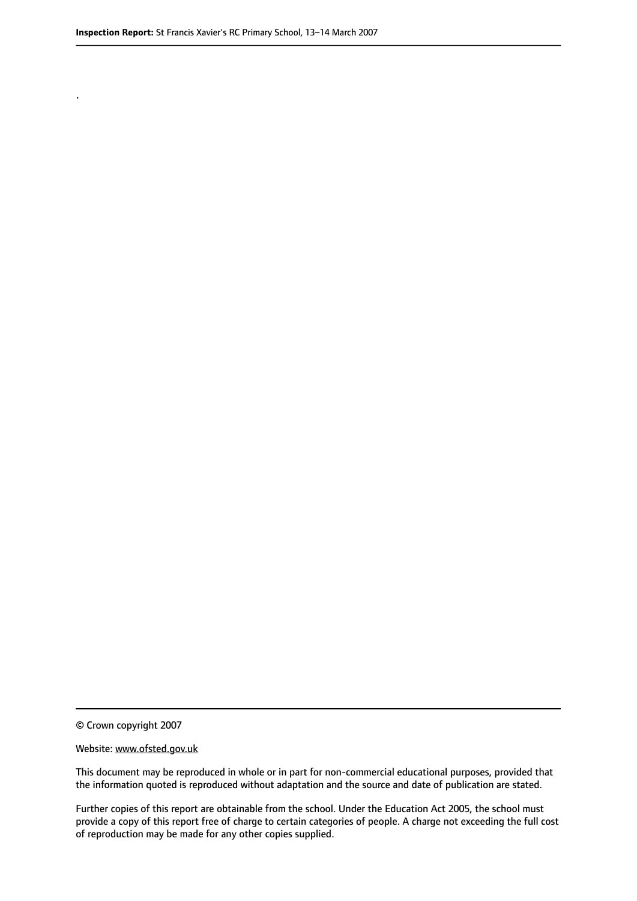.

© Crown copyright 2007

#### Website: www.ofsted.gov.uk

This document may be reproduced in whole or in part for non-commercial educational purposes, provided that the information quoted is reproduced without adaptation and the source and date of publication are stated.

Further copies of this report are obtainable from the school. Under the Education Act 2005, the school must provide a copy of this report free of charge to certain categories of people. A charge not exceeding the full cost of reproduction may be made for any other copies supplied.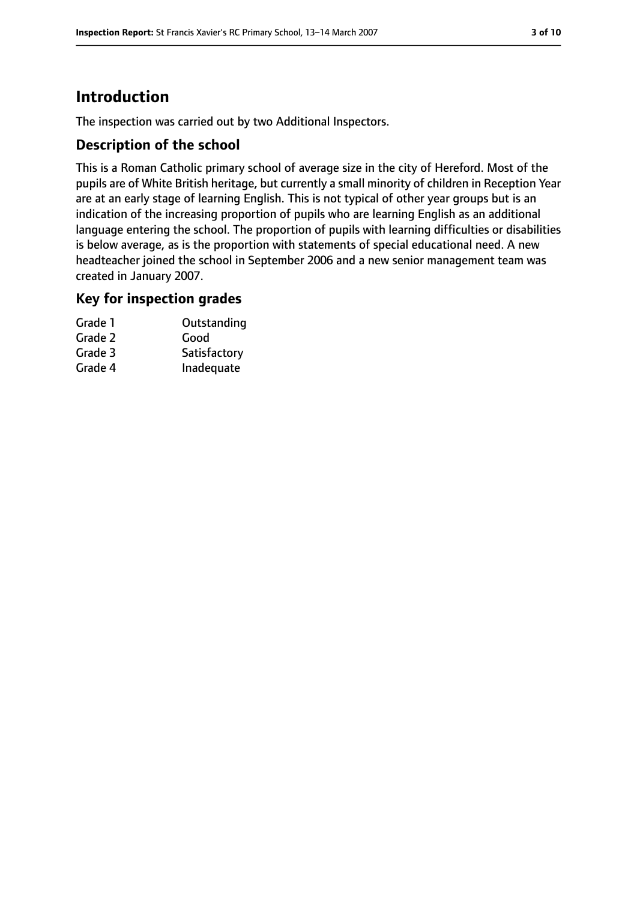# **Introduction**

The inspection was carried out by two Additional Inspectors.

## **Description of the school**

This is a Roman Catholic primary school of average size in the city of Hereford. Most of the pupils are of White British heritage, but currently a small minority of children in Reception Year are at an early stage of learning English. This is not typical of other year groups but is an indication of the increasing proportion of pupils who are learning English as an additional language entering the school. The proportion of pupils with learning difficulties or disabilities is below average, as is the proportion with statements of special educational need. A new headteacher joined the school in September 2006 and a new senior management team was created in January 2007.

#### **Key for inspection grades**

| Grade 1 | Outstanding  |
|---------|--------------|
| Grade 2 | Good         |
| Grade 3 | Satisfactory |
| Grade 4 | Inadequate   |
|         |              |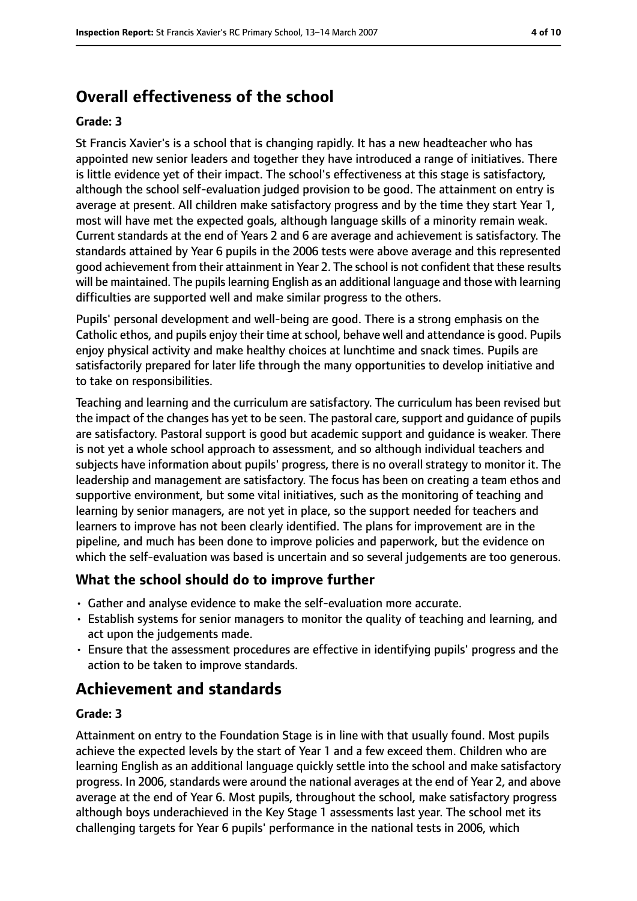# **Overall effectiveness of the school**

#### **Grade: 3**

St Francis Xavier's is a school that is changing rapidly. It has a new headteacher who has appointed new senior leaders and together they have introduced a range of initiatives. There is little evidence yet of their impact. The school's effectiveness at this stage is satisfactory, although the school self-evaluation judged provision to be good. The attainment on entry is average at present. All children make satisfactory progress and by the time they start Year 1, most will have met the expected goals, although language skills of a minority remain weak. Current standards at the end of Years 2 and 6 are average and achievement is satisfactory. The standards attained by Year 6 pupils in the 2006 tests were above average and this represented good achievement from their attainment in Year 2. The school is not confident that these results will be maintained. The pupilslearning English as an additional language and those with learning difficulties are supported well and make similar progress to the others.

Pupils' personal development and well-being are good. There is a strong emphasis on the Catholic ethos, and pupils enjoy their time at school, behave well and attendance is good. Pupils enjoy physical activity and make healthy choices at lunchtime and snack times. Pupils are satisfactorily prepared for later life through the many opportunities to develop initiative and to take on responsibilities.

Teaching and learning and the curriculum are satisfactory. The curriculum has been revised but the impact of the changes has yet to be seen. The pastoral care, support and guidance of pupils are satisfactory. Pastoral support is good but academic support and guidance is weaker. There is not yet a whole school approach to assessment, and so although individual teachers and subjects have information about pupils' progress, there is no overall strategy to monitor it. The leadership and management are satisfactory. The focus has been on creating a team ethos and supportive environment, but some vital initiatives, such as the monitoring of teaching and learning by senior managers, are not yet in place, so the support needed for teachers and learners to improve has not been clearly identified. The plans for improvement are in the pipeline, and much has been done to improve policies and paperwork, but the evidence on which the self-evaluation was based is uncertain and so several judgements are too generous.

#### **What the school should do to improve further**

- Gather and analyse evidence to make the self-evaluation more accurate.
- Establish systems for senior managers to monitor the quality of teaching and learning, and act upon the judgements made.
- Ensure that the assessment procedures are effective in identifying pupils' progress and the action to be taken to improve standards.

## **Achievement and standards**

#### **Grade: 3**

Attainment on entry to the Foundation Stage is in line with that usually found. Most pupils achieve the expected levels by the start of Year 1 and a few exceed them. Children who are learning English as an additional language quickly settle into the school and make satisfactory progress. In 2006, standards were around the national averages at the end of Year 2, and above average at the end of Year 6. Most pupils, throughout the school, make satisfactory progress although boys underachieved in the Key Stage 1 assessments last year. The school met its challenging targets for Year 6 pupils' performance in the national tests in 2006, which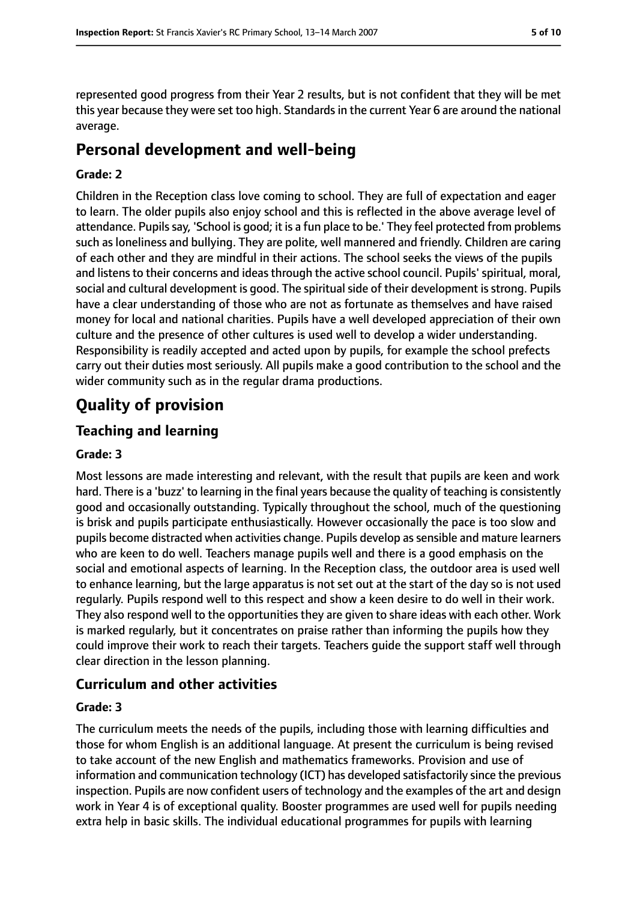represented good progress from their Year 2 results, but is not confident that they will be met this year because they were set too high. Standardsin the current Year 6 are around the national average.

# **Personal development and well-being**

#### **Grade: 2**

Children in the Reception class love coming to school. They are full of expectation and eager to learn. The older pupils also enjoy school and this is reflected in the above average level of attendance. Pupils say, 'School is good; it is a fun place to be.' They feel protected from problems such as loneliness and bullying. They are polite, well mannered and friendly. Children are caring of each other and they are mindful in their actions. The school seeks the views of the pupils and listens to their concerns and ideas through the active school council. Pupils' spiritual, moral, social and cultural development is good. The spiritual side of their development is strong. Pupils have a clear understanding of those who are not as fortunate as themselves and have raised money for local and national charities. Pupils have a well developed appreciation of their own culture and the presence of other cultures is used well to develop a wider understanding. Responsibility is readily accepted and acted upon by pupils, for example the school prefects carry out their duties most seriously. All pupils make a good contribution to the school and the wider community such as in the regular drama productions.

# **Quality of provision**

## **Teaching and learning**

#### **Grade: 3**

Most lessons are made interesting and relevant, with the result that pupils are keen and work hard. There is a 'buzz' to learning in the final years because the quality of teaching is consistently good and occasionally outstanding. Typically throughout the school, much of the questioning is brisk and pupils participate enthusiastically. However occasionally the pace is too slow and pupils become distracted when activities change. Pupils develop as sensible and mature learners who are keen to do well. Teachers manage pupils well and there is a good emphasis on the social and emotional aspects of learning. In the Reception class, the outdoor area is used well to enhance learning, but the large apparatus is not set out at the start of the day so is not used regularly. Pupils respond well to this respect and show a keen desire to do well in their work. They also respond well to the opportunities they are given to share ideas with each other. Work is marked regularly, but it concentrates on praise rather than informing the pupils how they could improve their work to reach their targets. Teachers guide the support staff well through clear direction in the lesson planning.

## **Curriculum and other activities**

#### **Grade: 3**

The curriculum meets the needs of the pupils, including those with learning difficulties and those for whom English is an additional language. At present the curriculum is being revised to take account of the new English and mathematics frameworks. Provision and use of information and communication technology (ICT) has developed satisfactorily since the previous inspection. Pupils are now confident users of technology and the examples of the art and design work in Year 4 is of exceptional quality. Booster programmes are used well for pupils needing extra help in basic skills. The individual educational programmes for pupils with learning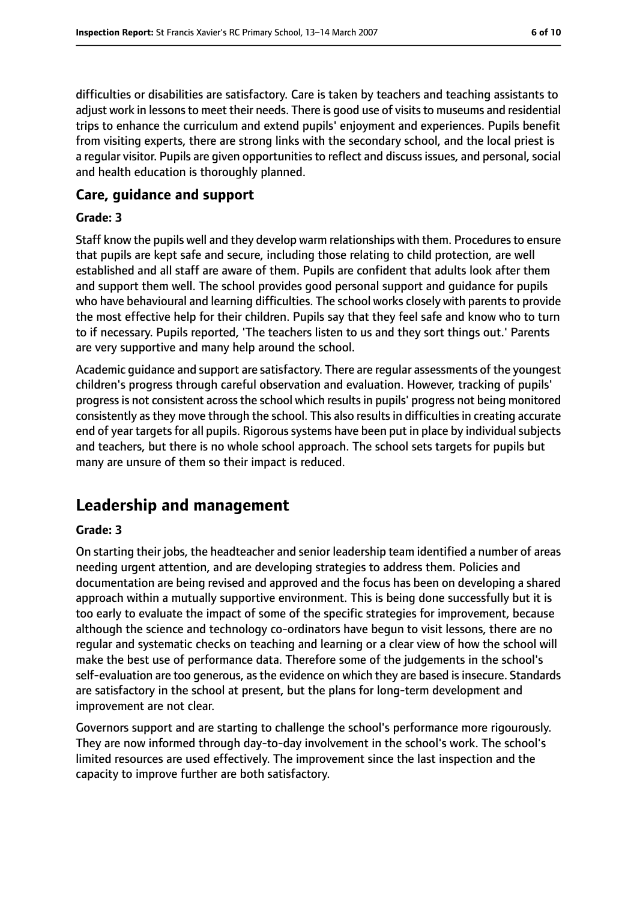difficulties or disabilities are satisfactory. Care is taken by teachers and teaching assistants to adjust work in lessons to meet their needs. There is good use of visits to museums and residential trips to enhance the curriculum and extend pupils' enjoyment and experiences. Pupils benefit from visiting experts, there are strong links with the secondary school, and the local priest is a regular visitor. Pupils are given opportunities to reflect and discuss issues, and personal, social and health education is thoroughly planned.

#### **Care, guidance and support**

#### **Grade: 3**

Staff know the pupils well and they develop warm relationships with them. Procedures to ensure that pupils are kept safe and secure, including those relating to child protection, are well established and all staff are aware of them. Pupils are confident that adults look after them and support them well. The school provides good personal support and guidance for pupils who have behavioural and learning difficulties. The school works closely with parents to provide the most effective help for their children. Pupils say that they feel safe and know who to turn to if necessary. Pupils reported, 'The teachers listen to us and they sort things out.' Parents are very supportive and many help around the school.

Academic guidance and support are satisfactory. There are regular assessments of the youngest children's progress through careful observation and evaluation. However, tracking of pupils' progressis not consistent acrossthe school which resultsin pupils' progress not being monitored consistently as they move through the school. This also results in difficulties in creating accurate end of year targets for all pupils. Rigorous systems have been put in place by individual subjects and teachers, but there is no whole school approach. The school sets targets for pupils but many are unsure of them so their impact is reduced.

# **Leadership and management**

#### **Grade: 3**

On starting their jobs, the headteacher and senior leadership team identified a number of areas needing urgent attention, and are developing strategies to address them. Policies and documentation are being revised and approved and the focus has been on developing a shared approach within a mutually supportive environment. This is being done successfully but it is too early to evaluate the impact of some of the specific strategies for improvement, because although the science and technology co-ordinators have begun to visit lessons, there are no regular and systematic checks on teaching and learning or a clear view of how the school will make the best use of performance data. Therefore some of the judgements in the school's self-evaluation are too generous, as the evidence on which they are based is insecure. Standards are satisfactory in the school at present, but the plans for long-term development and improvement are not clear.

Governors support and are starting to challenge the school's performance more rigourously. They are now informed through day-to-day involvement in the school's work. The school's limited resources are used effectively. The improvement since the last inspection and the capacity to improve further are both satisfactory.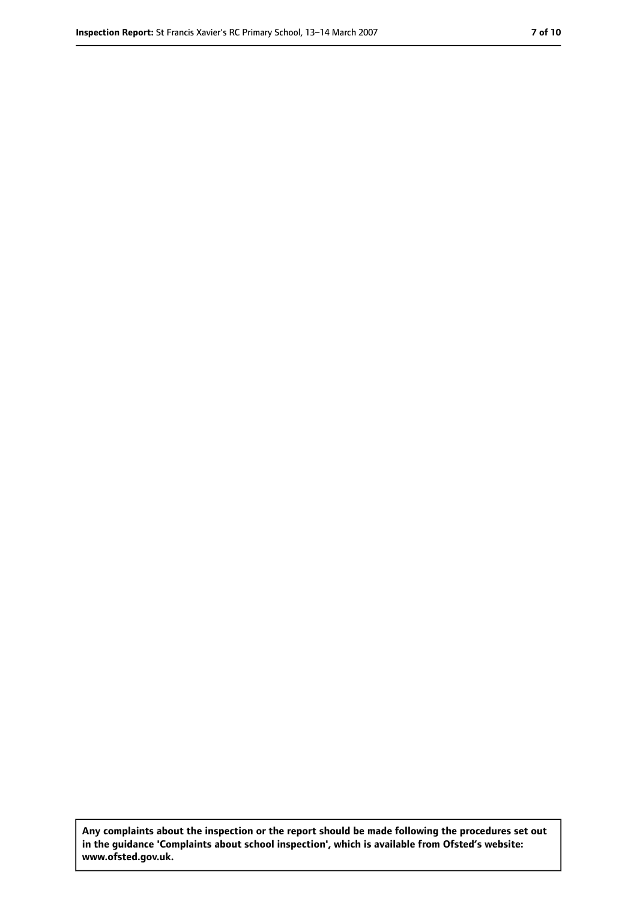**Any complaints about the inspection or the report should be made following the procedures set out in the guidance 'Complaints about school inspection', which is available from Ofsted's website: www.ofsted.gov.uk.**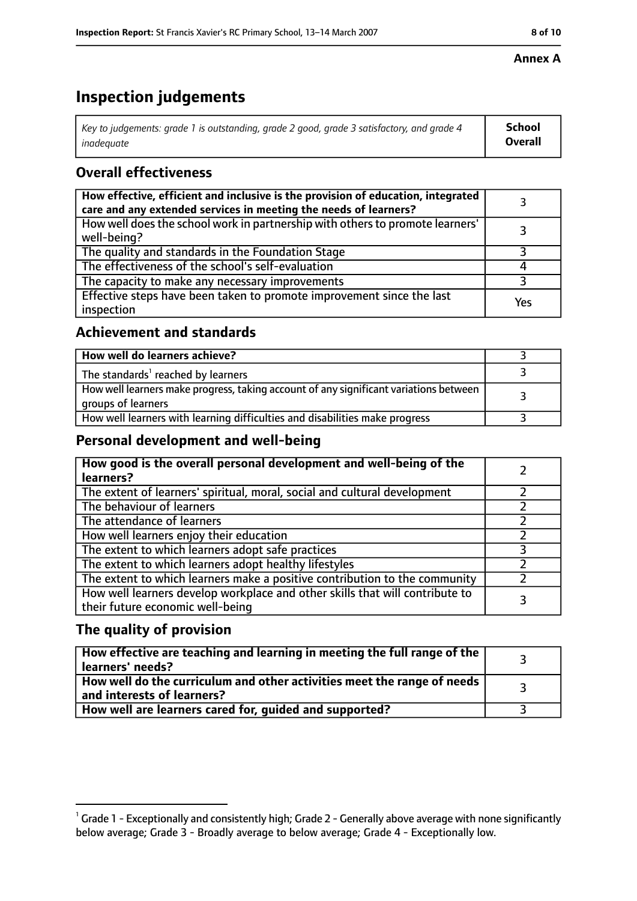#### **Inspection Report:** St Francis Xavier's RC Primary School, 1314 March 2007 **8 of 10**

#### **Annex A**

# **Inspection judgements**

| Key to judgements: grade 1 is outstanding, grade 2 good, grade 3 satisfactory, and grade 4 $\,$ | <b>School</b>  |
|-------------------------------------------------------------------------------------------------|----------------|
| inadequate                                                                                      | <b>Overall</b> |

## **Overall effectiveness**

| How effective, efficient and inclusive is the provision of education, integrated<br>care and any extended services in meeting the needs of learners? |     |
|------------------------------------------------------------------------------------------------------------------------------------------------------|-----|
| How well does the school work in partnership with others to promote learners'<br>well-being?                                                         |     |
| The quality and standards in the Foundation Stage                                                                                                    |     |
| The effectiveness of the school's self-evaluation                                                                                                    |     |
| The capacity to make any necessary improvements                                                                                                      |     |
| Effective steps have been taken to promote improvement since the last<br>inspection                                                                  | Yes |

## **Achievement and standards**

| How well do learners achieve?                                                                               |  |
|-------------------------------------------------------------------------------------------------------------|--|
| The standards <sup>1</sup> reached by learners                                                              |  |
| How well learners make progress, taking account of any significant variations between<br>groups of learners |  |
| How well learners with learning difficulties and disabilities make progress                                 |  |

## **Personal development and well-being**

| How good is the overall personal development and well-being of the<br>learners?                                  |  |
|------------------------------------------------------------------------------------------------------------------|--|
| The extent of learners' spiritual, moral, social and cultural development                                        |  |
| The behaviour of learners                                                                                        |  |
| The attendance of learners                                                                                       |  |
| How well learners enjoy their education                                                                          |  |
| The extent to which learners adopt safe practices                                                                |  |
| The extent to which learners adopt healthy lifestyles                                                            |  |
| The extent to which learners make a positive contribution to the community                                       |  |
| How well learners develop workplace and other skills that will contribute to<br>their future economic well-being |  |

## **The quality of provision**

| How effective are teaching and learning in meeting the full range of the<br>learners' needs?          |  |
|-------------------------------------------------------------------------------------------------------|--|
| How well do the curriculum and other activities meet the range of needs<br>and interests of learners? |  |
| How well are learners cared for, quided and supported?                                                |  |

 $^1$  Grade 1 - Exceptionally and consistently high; Grade 2 - Generally above average with none significantly below average; Grade 3 - Broadly average to below average; Grade 4 - Exceptionally low.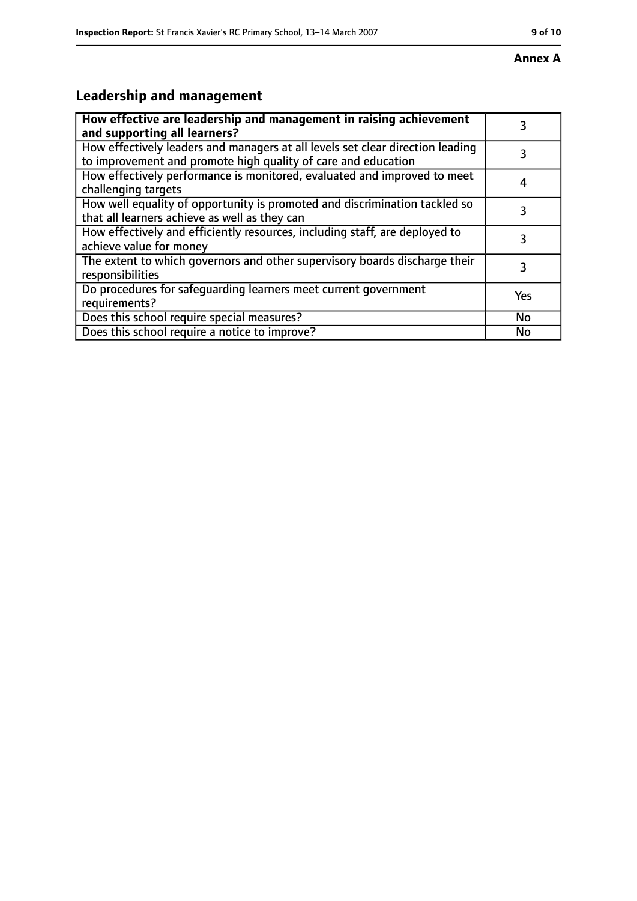#### **Annex A**

# **Leadership and management**

| How effective are leadership and management in raising achievement<br>and supporting all learners?                                              |           |
|-------------------------------------------------------------------------------------------------------------------------------------------------|-----------|
| How effectively leaders and managers at all levels set clear direction leading<br>to improvement and promote high quality of care and education |           |
| How effectively performance is monitored, evaluated and improved to meet<br>challenging targets                                                 |           |
| How well equality of opportunity is promoted and discrimination tackled so<br>that all learners achieve as well as they can                     |           |
| How effectively and efficiently resources, including staff, are deployed to<br>achieve value for money                                          | 3         |
| The extent to which governors and other supervisory boards discharge their<br>responsibilities                                                  | 3         |
| Do procedures for safequarding learners meet current government<br>requirements?                                                                | Yes       |
| Does this school require special measures?                                                                                                      | <b>No</b> |
| Does this school require a notice to improve?                                                                                                   | No        |